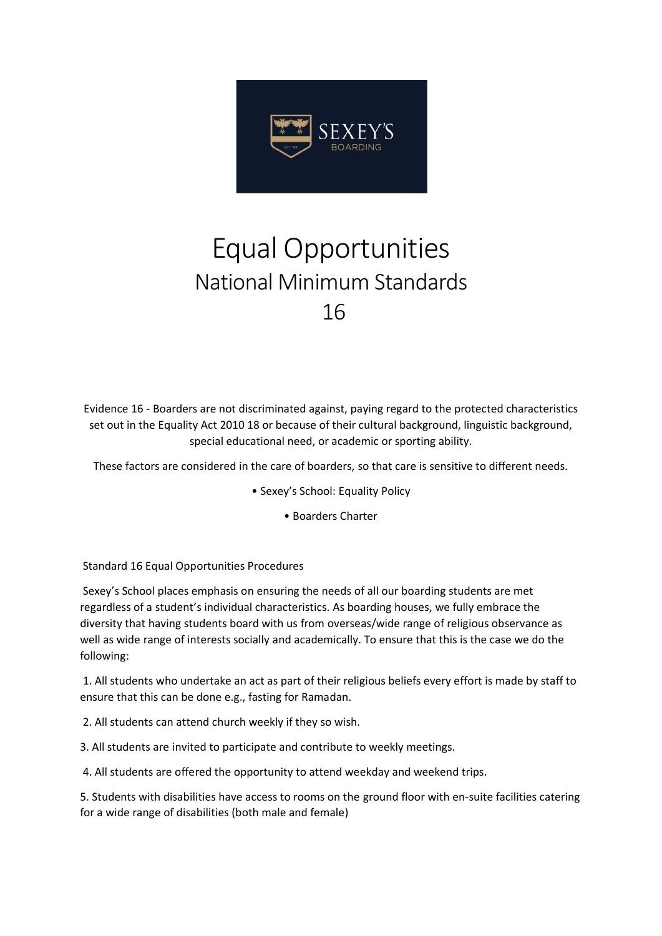

## Equal Opportunities National Minimum Standards 16

Evidence 16 - Boarders are not discriminated against, paying regard to the protected characteristics set out in the Equality Act 2010 18 or because of their cultural background, linguistic background, special educational need, or academic or sporting ability.

These factors are considered in the care of boarders, so that care is sensitive to different needs.

- Sexey's School: Equality Policy
	- Boarders Charter

Standard 16 Equal Opportunities Procedures

Sexey's School places emphasis on ensuring the needs of all our boarding students are met regardless of a student's individual characteristics. As boarding houses, we fully embrace the diversity that having students board with us from overseas/wide range of religious observance as well as wide range of interests socially and academically. To ensure that this is the case we do the following:

1. All students who undertake an act as part of their religious beliefs every effort is made by staff to ensure that this can be done e.g., fasting for Ramadan.

2. All students can attend church weekly if they so wish.

3. All students are invited to participate and contribute to weekly meetings.

4. All students are offered the opportunity to attend weekday and weekend trips.

5. Students with disabilities have access to rooms on the ground floor with en-suite facilities catering for a wide range of disabilities (both male and female)